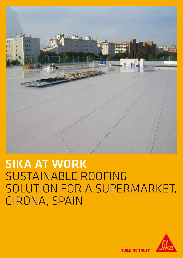

# SIKA AT WORK SUSTAINABLE ROOFING SOLUTION FOR A SUPERMARKET, GIRONA, SPAIN



**BUILDING TRUST**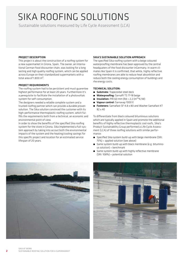## SIKA ROOFING SOLUTIONS

Sustainable solutions measured by Life Cycle Assessment (LCA)

#### PROJECT DESCRIPTION

This project is about the construction of a roofing system for a new supermarket in Girona, Spain. The owner, an international German food discounter chain, was looking for a long lasting and high quality roofing system, which can be applied across Europe on their standardized supermarkets with a total area of 1.800 m².

#### PROJECT REQUIREMENTS

The roofing system had to be persistent and must guarentee highest performance for at least 20 years. Furthermore it's a perequisite to facilitate the installation of a photovoltaic system for self-consumption.

The designers needed a reliable complete system and a trusted roofing partner which can provide a durable proven solution. The Sika solution convinced the customer with its high-performance thermoplastic roofing system, which fulfills the requirements both from a technical, an economic and environmental point of view.

In order to show the benefits of the specified Sika roofing system for the store in Girona, Sika implemented a full-system approach by taking into accout both the environmental impacts of the system and the heating/cooling savings for this specific project and location for an estimated service lifespan of 20 years.

#### SIKA'S SUSTAINABLE SOLUTION APPROACH

The specified Sika roofing system with a beige coloured waterproofing membrane has been approved by the central headquaters of the food discounter inGermany. In warm climates like Spain it is confirmed, that white, highly reflective roofing membranes are able to reduce heat absorbtion and reduce both the cooling energy consumption of buildings and rhe energy costs.

#### TECHNICAL SOLUTION:

- **E** Substrate: Trapezoidal steel deck
- **Naterproofing:** Sarnafil TS 77-18 beige
- $\blacksquare$  **Insulation:** PIR 60 mm (Rd = 2.2 (m<sup>2</sup>  $\times$ K/W)
- **u** Vapour control: Sarnavap 1000 E
- **E** Fasteners: Sarnafast SF 4.8 x 80 and Washer Sarnafast KT 82 x 40

To differentiate from black coloured bituminous solutions which are typically applied in Spain and promote the additional benefits of highly reflective thermoplastic cool roofs, Sika's Product Sustainability Group performed a Life Cycle Assessment (LCA) of three roofing solutions with similar performance:

- Specified Sika system build-up with beige membrane (SRI: 75%) = applied solution (see above)
- Same system build-up with black membrane (e.g. bituminous solution) = benchmark
- Same system build-up with highly reflective membrane (SRI: 108%) = potential solution



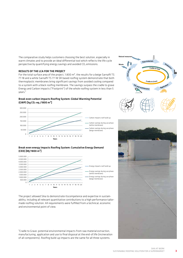The comparative study helps customers choosing the best solution, especially in warm climates and to provide an ideal differential tool which reflects the life cycle perspective by quantifying energy savings and avoided  $CO<sub>2</sub>$  emissions.

#### RESULTS OF THE LCA FOR THE PROJECT

For the total surface area of the project, 1.800  $m^2$ , the results for a beige Sarnafil TS 77-18 and a white Sarnafil TS 77-18 SR based roofing system demonstrate that both thermoplastic membranes bring significant savings from avoided cooling compared to a system with a black roofing membrane. The savings surpass the cradle to grave Energy and Carbon impacts ("Footprint") of the whole roofing system in less than 5 years.<sup>1</sup>

#### Break even carbon impacts Roofing System: Global Warming Potential  $(CWP)$  [kg CO<sub>2</sub>-eq./1800 m<sup>2</sup>]



#### Break even energy impacts Roofing System: Cumulative Energy Demand (CED) [MJ/1800 m²]



The project allowed Sika to demonstrate itscompetence and expertise in sustainability, including all relevant quantitative contributions to a high performance tailormade roofing solution. All requirements were fulfilled from a technical, economic and environmental point of view.

<sup>1</sup>Cradle to Grave: potential environmental impacts from raw material extraction, manufacturing, application and use to final disposal at the end-of.life (incineration of all components). Roofing build-up impacts are the same for all three systems.





3